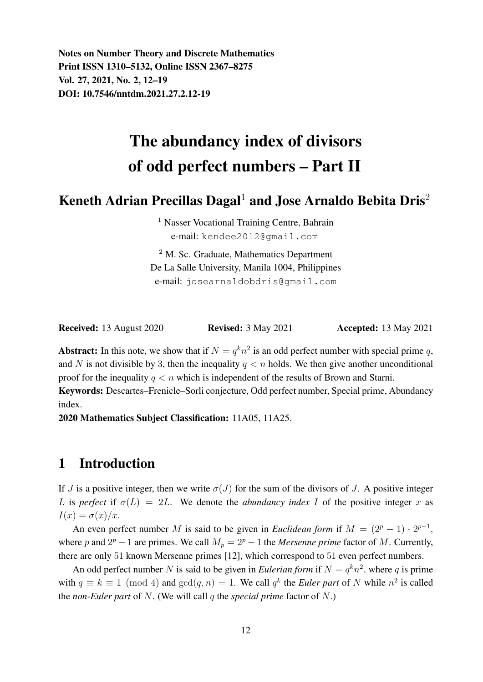Notes on Number Theory and Discrete Mathematics Print ISSN 1310–5132, Online ISSN 2367–8275 Vol. 27, 2021, No. 2, 12–19 DOI: 10.7546/nntdm.2021.27.2.12-19

# The abundancy index of divisors of odd perfect numbers – Part II

## Keneth Adrian Precillas Dagal<sup>1</sup> and Jose Arnaldo Bebita Dris<sup>2</sup>

<sup>1</sup> Nasser Vocational Training Centre, Bahrain e-mail: kendee2012@gmail.com

<sup>2</sup> M. Sc. Graduate, Mathematics Department De La Salle University, Manila 1004, Philippines e-mail: josearnaldobdris@gmail.com

| <b>Received:</b> 13 August 2020 | <b>Revised:</b> 3 May 2021 | <b>Accepted:</b> 13 May 2021 |
|---------------------------------|----------------------------|------------------------------|
|---------------------------------|----------------------------|------------------------------|

Abstract: In this note, we show that if  $N = q^k n^2$  is an odd perfect number with special prime q, and N is not divisible by 3, then the inequality  $q < n$  holds. We then give another unconditional proof for the inequality  $q < n$  which is independent of the results of Brown and Starni.

Keywords: Descartes–Frenicle–Sorli conjecture, Odd perfect number, Special prime, Abundancy index.

2020 Mathematics Subject Classification: 11A05, 11A25.

## 1 Introduction

If J is a positive integer, then we write  $\sigma(J)$  for the sum of the divisors of J. A positive integer L is *perfect* if  $\sigma(L) = 2L$ . We denote the *abundancy index* I of the positive integer x as  $I(x) = \sigma(x)/x$ .

An even perfect number M is said to be given in *Euclidean form* if  $M = (2^p - 1) \cdot 2^{p-1}$ , where p and  $2^p - 1$  are primes. We call  $M_p = 2^p - 1$  the *Mersenne prime* factor of M. Currently, there are only 51 known Mersenne primes [12], which correspond to 51 even perfect numbers.

An odd perfect number N is said to be given in *Eulerian form* if  $N = q^k n^2$ , where q is prime with  $q \equiv k \equiv 1 \pmod{4}$  and  $gcd(q, n) = 1$ . We call  $q^k$  the *Euler part* of N while  $n^2$  is called the *non-Euler part* of N. (We will call q the *special prime* factor of N.)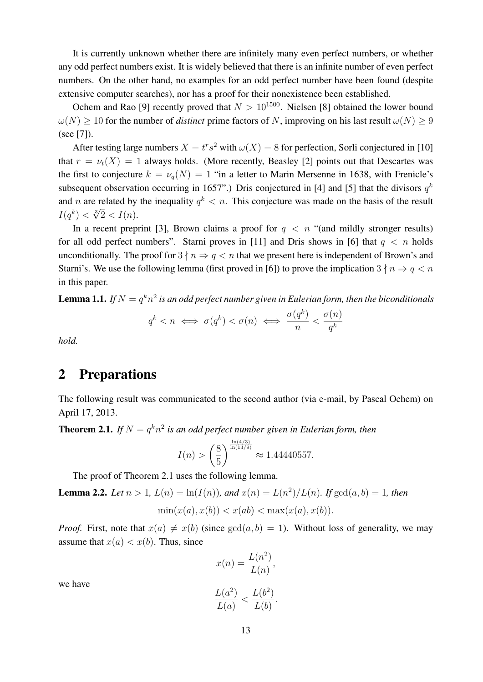It is currently unknown whether there are infinitely many even perfect numbers, or whether any odd perfect numbers exist. It is widely believed that there is an infinite number of even perfect numbers. On the other hand, no examples for an odd perfect number have been found (despite extensive computer searches), nor has a proof for their nonexistence been established.

Ochem and Rao [9] recently proved that  $N > 10^{1500}$ . Nielsen [8] obtained the lower bound  $\omega(N) \ge 10$  for the number of *distinct* prime factors of N, improving on his last result  $\omega(N) \ge 9$ (see [7]).

After testing large numbers  $X = t^r s^2$  with  $\omega(X) = 8$  for perfection, Sorli conjectured in [10] that  $r = \nu_t(X) = 1$  always holds. (More recently, Beasley [2] points out that Descartes was the first to conjecture  $k = \nu_q(N) = 1$  "in a letter to Marin Mersenne in 1638, with Frenicle's subsequent observation occurring in 1657".) Dris conjectured in [4] and [5] that the divisors  $q^k$ and *n* are related by the inequality  $q^k < n$ . This conjecture was made on the basis of the result and *h* are related by<br>  $I(q^k) < \sqrt[3]{2} < I(n)$ .

In a recent preprint [3], Brown claims a proof for  $q \leq n$  "(and mildly stronger results) for all odd perfect numbers". Starni proves in [11] and Dris shows in [6] that  $q \le n$  holds unconditionally. The proof for  $3 \nmid n \Rightarrow q \leq n$  that we present here is independent of Brown's and Starni's. We use the following lemma (first proved in [6]) to prove the implication  $3 \nmid n \Rightarrow q < n$ in this paper.

**Lemma 1.1.** If  $N=q^kn^2$  is an odd perfect number given in Eulerian form, then the biconditionals

$$
q^k < n \iff \sigma(q^k) < \sigma(n) \iff \frac{\sigma(q^k)}{n} < \frac{\sigma(n)}{q^k}
$$

*hold.*

## 2 Preparations

The following result was communicated to the second author (via e-mail, by Pascal Ochem) on April 17, 2013.

**Theorem 2.1.** If  $N = q^k n^2$  is an odd perfect number given in Eulerian form, then

$$
I(n) > \left(\frac{8}{5}\right)^{\frac{\ln(4/3)}{\ln(13/9)}} \approx 1.44440557.
$$

The proof of Theorem 2.1 uses the following lemma.

**Lemma 2.2.** Let  $n > 1$ ,  $L(n) = \ln(I(n))$ , and  $x(n) = L(n^2)/L(n)$ . If  $gcd(a, b) = 1$ , then

$$
\min(x(a), x(b)) < x(ab) < \max(x(a), x(b)).
$$

*Proof.* First, note that  $x(a) \neq x(b)$  (since  $gcd(a, b) = 1$ ). Without loss of generality, we may assume that  $x(a) < x(b)$ . Thus, since

$$
x(n) = \frac{L(n^2)}{L(n)},
$$
  

$$
L(a^2) = L(b^2)
$$

we have

$$
\frac{L(a)}{L(a)} < \frac{L(b)}{L(b)}
$$

.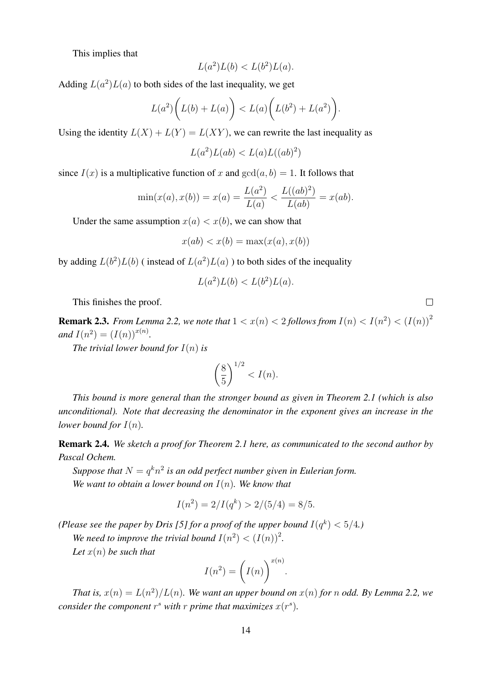This implies that

$$
L(a^2)L(b) < L(b^2)L(a).
$$

Adding  $L(a^2)L(a)$  to both sides of the last inequality, we get

$$
L(a^2)\bigg(L(b)+L(a)\bigg) < L(a)\bigg(L(b^2)+L(a^2)\bigg).
$$

Using the identity  $L(X) + L(Y) = L(XY)$ , we can rewrite the last inequality as

 $L(a^2)L(ab) < L(a)L((ab)^2)$ 

since  $I(x)$  is a multiplicative function of x and  $gcd(a, b) = 1$ . It follows that

$$
\min(x(a), x(b)) = x(a) = \frac{L(a^2)}{L(a)} < \frac{L((ab)^2)}{L(ab)} = x(ab).
$$

Under the same assumption  $x(a) < x(b)$ , we can show that

$$
x(ab) < x(b) = \max(x(a), x(b))
$$

by adding  $L(b^2)L(b)$  (instead of  $L(a^2)L(a)$ ) to both sides of the inequality

$$
L(a^2)L(b) < L(b^2)L(a).
$$

This finishes the proof.

**Remark 2.3.** *From Lemma 2.2, we note that*  $1 < x(n) < 2$  *follows from*  $I(n) < I(n^2) < (I(n))^2$ *and*  $I(n^2) = (I(n))^{x(n)}$ *.* 

*The trivial lower bound for*  $I(n)$  *is* 

$$
\left(\frac{8}{5}\right)^{1/2} < I(n).
$$

*This bound is more general than the stronger bound as given in Theorem 2.1 (which is also unconditional). Note that decreasing the denominator in the exponent gives an increase in the lower bound for*  $I(n)$ *.* 

Remark 2.4. *We sketch a proof for Theorem 2.1 here, as communicated to the second author by Pascal Ochem.*

Suppose that  $N=q^kn^2$  is an odd perfect number given in Eulerian form. *We want to obtain a lower bound on* I(n)*. We know that*

$$
I(n^2) = 2/I(q^k) > 2/(5/4) = 8/5.
$$

*(Please see the paper by Dris [5] for a proof of the upper bound*  $I(q^k) < 5/4$ .)

We need to improve the trivial bound  $I(n^2) < (I(n))^2$ .

*Let* x(n) *be such that*

$$
I(n^2) = \left(I(n)\right)^{x(n)}.
$$

*That is,*  $x(n) = L(n^2)/L(n)$ *. We want an upper bound on*  $x(n)$  *for* n *odd. By Lemma 2.2, we consider the component*  $r^s$  with  $r$  *prime that maximizes*  $x(r^s)$ *.* 

 $\Box$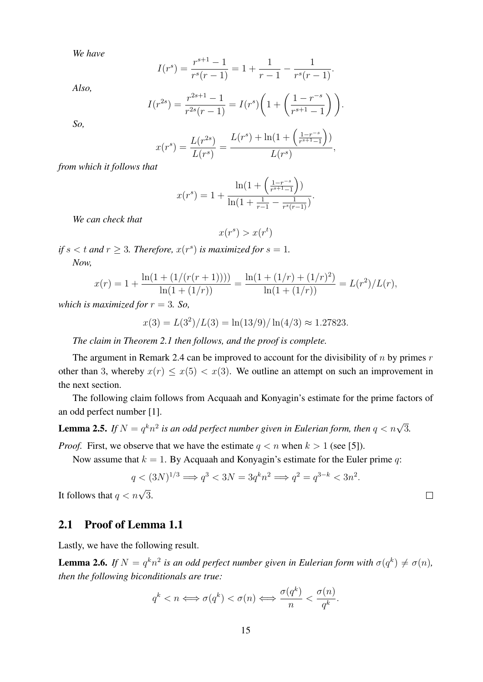*We have*

$$
I(rs) = \frac{r^{s+1} - 1}{r^{s}(r-1)} = 1 + \frac{1}{r-1} - \frac{1}{r^{s}(r-1)}.
$$

*Also,*

$$
I(r^{2s}) = \frac{r^{2s+1} - 1}{r^{2s}(r-1)} = I(r^s) \left( 1 + \left( \frac{1 - r^{-s}}{r^{s+1} - 1} \right) \right).
$$

*So,*

$$
x(r^{s}) = \frac{L(r^{2s})}{L(r^{s})} = \frac{L(r^{s}) + \ln(1 + \left(\frac{1 - r^{-s}}{r^{s+1} - 1}\right))}{L(r^{s})},
$$

*from which it follows that*

$$
x(r^{s}) = 1 + \frac{\ln(1 + \left(\frac{1 - r^{-s}}{r^{s+1} - 1}\right))}{\ln(1 + \frac{1}{r-1} - \frac{1}{r^{s}(r-1)})}.
$$

*We can check that*

$$
x(r^s) > x(r^t)
$$

*if*  $s < t$  and  $r \geq 3$ . Therefore,  $x(r<sup>s</sup>)$  *is maximized for*  $s = 1$ .

*Now,*

$$
x(r) = 1 + \frac{\ln(1 + (1/(r(r+1))))}{\ln(1 + (1/r))} = \frac{\ln(1 + (1/r) + (1/r)^2)}{\ln(1 + (1/r))} = L(r^2)/L(r),
$$

*which is maximized for*  $r = 3$ *. So,* 

$$
x(3) = L(32)/L(3) = \ln(13/9)/\ln(4/3) \approx 1.27823.
$$

*The claim in Theorem 2.1 then follows, and the proof is complete.*

The argument in Remark 2.4 can be improved to account for the divisibility of  $n$  by primes  $r$ other than 3, whereby  $x(r) \leq x(5) < x(3)$ . We outline an attempt on such an improvement in the next section.

The following claim follows from Acquaah and Konyagin's estimate for the prime factors of an odd perfect number [1].

**Lemma 2.5.** If  $N = q^k n^2$  is an odd perfect number given in Eulerian form, then  $q < n\sqrt{3}$ .

*Proof.* First, we observe that we have the estimate  $q < n$  when  $k > 1$  (see [5]).

Now assume that  $k = 1$ . By Acquaah and Konyagin's estimate for the Euler prime q:

$$
q < (3N)^{1/3} \Longrightarrow q^3 < 3N = 3q^k n^2 \Longrightarrow q^2 = q^{3-k} < 3n^2.
$$

 $\Box$ 

It follows that  $q < n\sqrt{3}$ .

#### 2.1 Proof of Lemma 1.1

Lastly, we have the following result.

**Lemma 2.6.** If  $N = q^k n^2$  is an odd perfect number given in Eulerian form with  $\sigma(q^k) \neq \sigma(n)$ , *then the following biconditionals are true:*

$$
q^k < n \Longleftrightarrow \sigma(q^k) < \sigma(n) \Longleftrightarrow \frac{\sigma(q^k)}{n} < \frac{\sigma(n)}{q^k}.
$$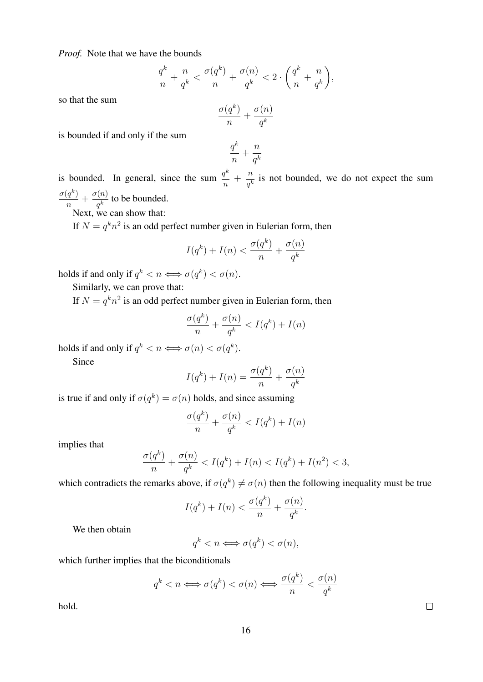*Proof.* Note that we have the bounds

$$
\frac{q^k}{n} + \frac{n}{q^k} < \frac{\sigma(q^k)}{n} + \frac{\sigma(n)}{q^k} < 2 \cdot \left(\frac{q^k}{n} + \frac{n}{q^k}\right),
$$

so that the sum

$$
\frac{\sigma(q^k)}{n}+\frac{\sigma(n)}{q^k}
$$

is bounded if and only if the sum

$$
\frac{q^k}{n} + \frac{n}{q^k}
$$

is bounded. In general, since the sum  $\frac{q^k}{q}$  $\frac{q^k}{n} + \frac{n}{q^k}$  $\frac{h}{q^k}$  is not bounded, we do not expect the sum  $\sigma(q^k)$  $\frac{(q^k)}{n}+\frac{\sigma(n)}{q^k}$  $\frac{h^{(h)}}{q^k}$  to be bounded.

Next, we can show that:

If  $N = q^k n^2$  is an odd perfect number given in Eulerian form, then

$$
I(q^k) + I(n) < \frac{\sigma(q^k)}{n} + \frac{\sigma(n)}{q^k}
$$

holds if and only if  $q^k < n \Longleftrightarrow \sigma(q^k) < \sigma(n)$ .

Similarly, we can prove that:

If  $N = q^k n^2$  is an odd perfect number given in Eulerian form, then

$$
\frac{\sigma(q^k)}{n} + \frac{\sigma(n)}{q^k} < I(q^k) + I(n)
$$

holds if and only if  $q^k < n \Longleftrightarrow \sigma(n) < \sigma(q^k)$ .

Since

$$
I(q^k) + I(n) = \frac{\sigma(q^k)}{n} + \frac{\sigma(n)}{q^k}
$$

is true if and only if  $\sigma(q^k) = \sigma(n)$  holds, and since assuming

$$
\frac{\sigma(q^k)}{n} + \frac{\sigma(n)}{q^k} < I(q^k) + I(n)
$$

implies that

$$
\frac{\sigma(q^k)}{n} + \frac{\sigma(n)}{q^k} < I(q^k) + I(n) < I(q^k) + I(n^2) < 3,
$$

which contradicts the remarks above, if  $\sigma(q^k) \neq \sigma(n)$  then the following inequality must be true

$$
I(q^k) + I(n) < \frac{\sigma(q^k)}{n} + \frac{\sigma(n)}{q^k}.
$$

We then obtain

$$
q^k < n \Longleftrightarrow \sigma(q^k) < \sigma(n),
$$

which further implies that the biconditionals

$$
q^k < n \iff \sigma(q^k) < \sigma(n) \iff \frac{\sigma(q^k)}{n} < \frac{\sigma(n)}{q^k}
$$

hold.

 $\Box$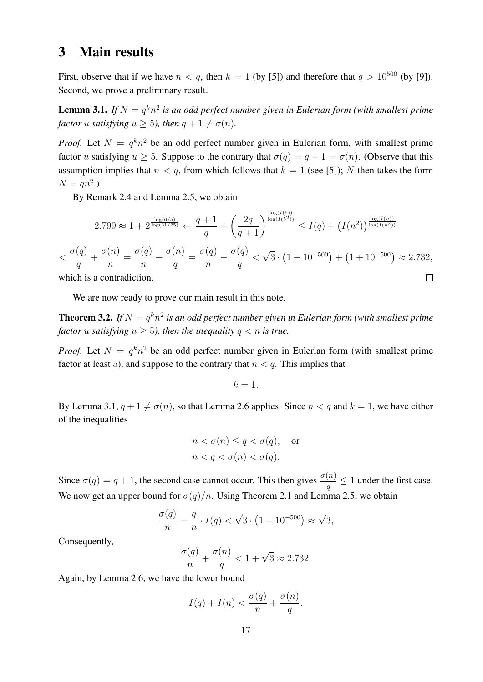## 3 Main results

First, observe that if we have  $n < q$ , then  $k = 1$  (by [5]) and therefore that  $q > 10^{500}$  (by [9]). Second, we prove a preliminary result.

**Lemma 3.1.** If  $N = q^k n^2$  is an odd perfect number given in Eulerian form (with smallest prime *factor u satisfying*  $u \ge 5$ *), then*  $q + 1 \ne \sigma(n)$ *.* 

*Proof.* Let  $N = q^k n^2$  be an odd perfect number given in Eulerian form, with smallest prime factor u satisfying  $u \geq 5$ . Suppose to the contrary that  $\sigma(q) = q + 1 = \sigma(n)$ . (Observe that this assumption implies that  $n < q$ , from which follows that  $k = 1$  (see [5]); N then takes the form  $N = qn^2.$ 

By Remark 2.4 and Lemma 2.5, we obtain

$$
2.799 \approx 1 + 2^{\frac{\log(6/5)}{\log(31/25)}} \leftarrow \frac{q+1}{q} + \left(\frac{2q}{q+1}\right)^{\frac{\log(I(5))}{\log(I(5^2))}} \le I(q) + \left(I(n^2)\right)^{\frac{\log(I(u))}{\log(I(u^2))}}
$$
\n
$$
< \frac{\sigma(q)}{q} + \frac{\sigma(n)}{n} = \frac{\sigma(q)}{n} + \frac{\sigma(n)}{q} = \frac{\sigma(q)}{n} + \frac{\sigma(q)}{q} < \sqrt{3} \cdot \left(1 + 10^{-500}\right) + \left(1 + 10^{-500}\right) \approx 2.732,
$$
\nwhich is a contradiction.

which is a contradiction.

We are now ready to prove our main result in this note.

**Theorem 3.2.** If  $N = q^k n^2$  is an odd perfect number given in Eulerian form (with smallest prime *factor u satisfying*  $u \geq 5$ *), then the inequality*  $q < n$  *is true.* 

*Proof.* Let  $N = q^k n^2$  be an odd perfect number given in Eulerian form (with smallest prime factor at least 5), and suppose to the contrary that  $n < q$ . This implies that

 $k = 1$ .

By Lemma 3.1,  $q + 1 \neq \sigma(n)$ , so that Lemma 2.6 applies. Since  $n < q$  and  $k = 1$ , we have either of the inequalities

$$
n < \sigma(n) \le q < \sigma(q), \quad \text{or}
$$
\n
$$
n < q < \sigma(n) < \sigma(q).
$$

Since  $\sigma(q) = q + 1$ , the second case cannot occur. This then gives  $\frac{\sigma(n)}{q} \leq 1$  under the first case. We now get an upper bound for  $\sigma(q)/n$ . Using Theorem 2.1 and Lemma 2.5, we obtain

$$
\frac{\sigma(q)}{n} = \frac{q}{n} \cdot I(q) < \sqrt{3} \cdot \left(1 + 10^{-500}\right) \approx \sqrt{3},
$$

Consequently,

$$
\frac{\sigma(q)}{n} + \frac{\sigma(n)}{q} < 1 + \sqrt{3} \approx 2.732.
$$

Again, by Lemma 2.6, we have the lower bound

$$
I(q) + I(n) < \frac{\sigma(q)}{n} + \frac{\sigma(n)}{q}.
$$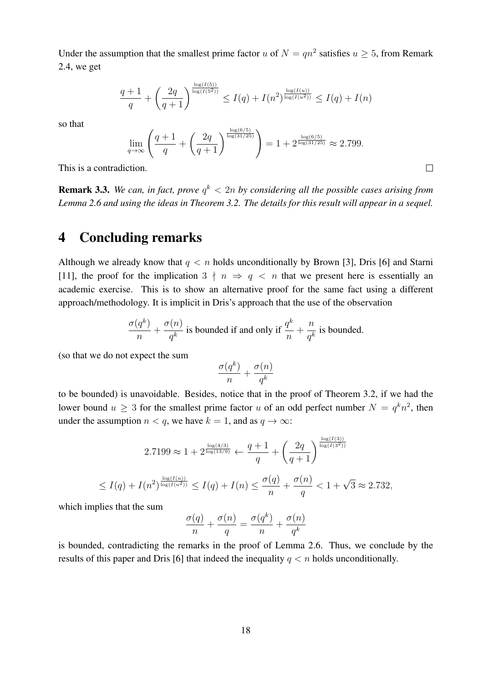Under the assumption that the smallest prime factor u of  $N = qn^2$  satisfies  $u \ge 5$ , from Remark 2.4, we get

$$
\frac{q+1}{q} + \left(\frac{2q}{q+1}\right)^{\frac{\log(I(5))}{\log(I(5^2))}} \le I(q) + I(n^2)^{\frac{\log(I(u))}{\log(I(u^2))}} \le I(q) + I(n)
$$

so that

$$
\lim_{q \to \infty} \left( \frac{q+1}{q} + \left( \frac{2q}{q+1} \right)^{\frac{\log(6/5)}{\log(31/25)}} \right) = 1 + 2^{\frac{\log(6/5)}{\log(31/25)}} \approx 2.799.
$$

 $\Box$ 

This is a contradiction.

**Remark 3.3.** We can, in fact, prove  $q^k < 2n$  by considering all the possible cases arising from *Lemma 2.6 and using the ideas in Theorem 3.2. The details for this result will appear in a sequel.*

## 4 Concluding remarks

Although we already know that  $q < n$  holds unconditionally by Brown [3], Dris [6] and Starni [11], the proof for the implication  $3 \nmid n \Rightarrow q \leq n$  that we present here is essentially an academic exercise. This is to show an alternative proof for the same fact using a different approach/methodology. It is implicit in Dris's approach that the use of the observation

$$
\frac{\sigma(q^k)}{n} + \frac{\sigma(n)}{q^k}
$$
 is bounded if and only if  $\frac{q^k}{n} + \frac{n}{q^k}$  is bounded.

(so that we do not expect the sum

$$
\frac{\sigma(q^k)}{n} + \frac{\sigma(n)}{q^k}
$$

to be bounded) is unavoidable. Besides, notice that in the proof of Theorem 3.2, if we had the lower bound  $u \geq 3$  for the smallest prime factor u of an odd perfect number  $N = q^k n^2$ , then under the assumption  $n < q$ , we have  $k = 1$ , and as  $q \to \infty$ :

$$
2.7199 \approx 1 + 2^{\frac{\log(4/3)}{\log(13/9)}} \leftarrow \frac{q+1}{q} + \left(\frac{2q}{q+1}\right)^{\frac{\log(I(3))}{\log(I(3^2))}}
$$
  

$$
\leq I(q) + I(n^2)^{\frac{\log(I(u))}{\log(I(u^2))}} \leq I(q) + I(n) \leq \frac{\sigma(q)}{n} + \frac{\sigma(n)}{q} < 1 + \sqrt{3} \approx 2.732,
$$

which implies that the sum

$$
\frac{\sigma(q)}{n} + \frac{\sigma(n)}{q} = \frac{\sigma(q^k)}{n} + \frac{\sigma(n)}{q^k}
$$

is bounded, contradicting the remarks in the proof of Lemma 2.6. Thus, we conclude by the results of this paper and Dris [6] that indeed the inequality  $q < n$  holds unconditionally.